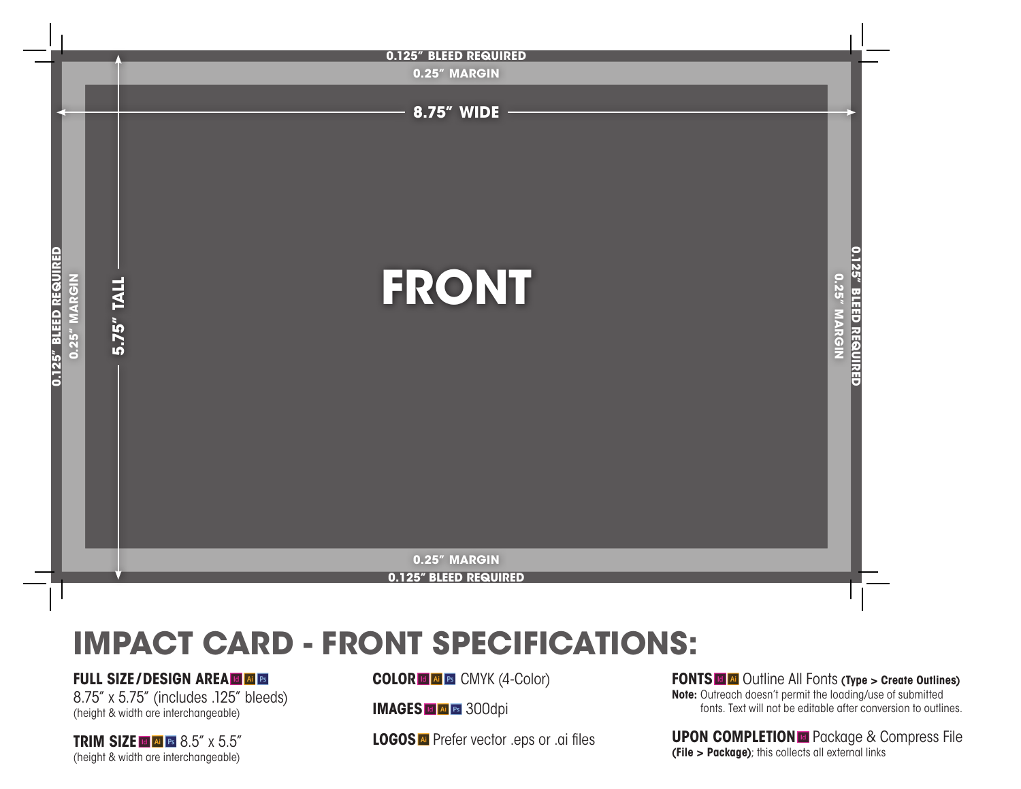

# **IMPACT CARD - FRONT SPECIFICATIONS:**

### **FULL SIZE/DESIGN AREA & & B**

8.75" x 5.75" (includes .125" bleeds) (height & width are interchangeable)

**TRIM SIZE E A B 8.5"** x 5.5" (height & width are interchangeable)

**COLOR C A E CMYK** (4-Color)

**IMAGES II EI** 300dpi

**LOGOS All** Prefer vector .eps or .ai files

**FONTS E**  $\alpha$  Outline All Fonts (Type > Create Outlines) **Note:** Outreach doesn't permit the loading/use of submitted fonts. Text will not be editable after conversion to outlines.

**UPON COMPLETION E** Package & Compress File **(File > Package)**; this collects all external links